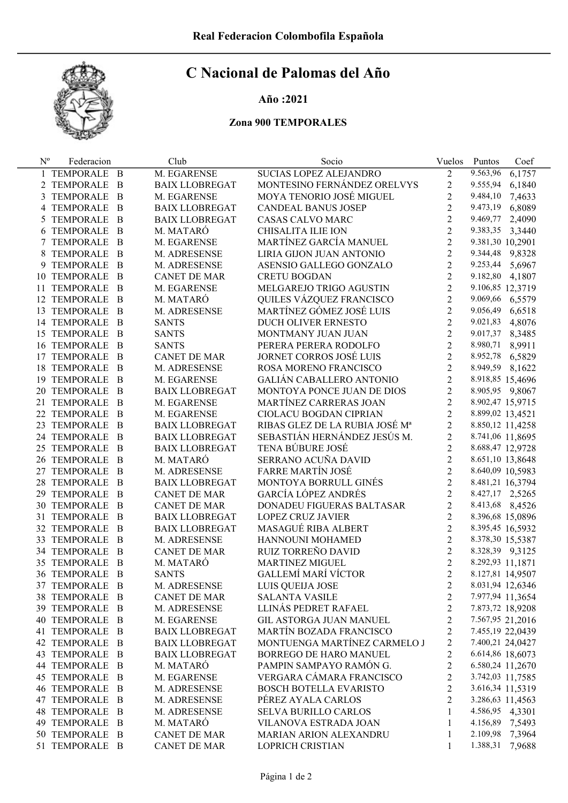

## C Nacional de Palomas del Año

## Año :2021

## Zona 900 TEMPORALES

| $N^{o}$ | Federacion            |                | Club                  | Socio                           | Vuelos         | Puntos           | Coef   |
|---------|-----------------------|----------------|-----------------------|---------------------------------|----------------|------------------|--------|
|         | 1 TEMPORALE B         |                | M. EGARENSE           | SUCIAS LOPEZ ALEJANDRO          | $\overline{2}$ | 9.563,96         | 6,1757 |
|         | 2 TEMPORALE B         |                | <b>BAIX LLOBREGAT</b> | MONTESINO FERNÁNDEZ ORELVYS     | $\overline{c}$ | 9.555,94         | 6,1840 |
| 3       | TEMPORALE             | $\overline{B}$ | M. EGARENSE           | MOYA TENORIO JOSÉ MIGUEL        | $\overline{2}$ | 9.484,10         | 7,4633 |
| 4       | TEMPORALE             | $\overline{B}$ | <b>BAIX LLOBREGAT</b> | <b>CANDEAL BANUS JOSEP</b>      | $\overline{2}$ | 9.473,19         | 6,8089 |
| 5       | TEMPORALE             | - B            | <b>BAIX LLOBREGAT</b> | CASAS CALVO MARC                | $\overline{c}$ | 9.469,77         | 2,4090 |
| 6       | TEMPORALE             | - B            | M. MATARÓ             | <b>CHISALITA ILIE ION</b>       | $\overline{2}$ | 9.383,35         | 3,3440 |
|         | 7 TEMPORALE           | – B            | M. EGARENSE           | MARTÍNEZ GARCÍA MANUEL          | $\overline{2}$ | 9.381,30 10,2901 |        |
| 8       | TEMPORALE             | – B            | M. ADRESENSE          | LIRIA GIJON JUAN ANTONIO        | $\overline{2}$ | 9.344,48 9,8328  |        |
|         | TEMPORALE B           |                | M. ADRESENSE          | ASENSIO GALLEGO GONZALO         | $\overline{2}$ | 9.253,44         | 5,6967 |
|         | 10 TEMPORALE          | $\overline{B}$ | <b>CANET DE MAR</b>   | <b>CRETU BOGDAN</b>             | $\overline{2}$ | 9.182,80         | 4,1807 |
|         | 11 TEMPORALE          | - B            | M. EGARENSE           | MELGAREJO TRIGO AGUSTIN         | $\overline{2}$ | 9.106,85 12,3719 |        |
|         | 12 TEMPORALE          | - B            | M. MATARÓ             | QUILES VÁZQUEZ FRANCISCO        | $\overline{c}$ | 9.069,66 6,5579  |        |
|         | 13 TEMPORALE          | - B            | M. ADRESENSE          | MARTÍNEZ GÓMEZ JOSÉ LUIS        | $\overline{c}$ | 9.056,49         | 6,6518 |
|         | 14 TEMPORALE          | - B            | <b>SANTS</b>          | DUCH OLIVER ERNESTO             | $\overline{2}$ | 9.021,83         | 4,8076 |
|         | 15 TEMPORALE          | - B            | <b>SANTS</b>          | MONTMANY JUAN JUAN              | $\overline{2}$ | 9.017,37 8,3485  |        |
|         | 16 TEMPORALE          | – B            | <b>SANTS</b>          | PERERA PERERA RODOLFO           | $\overline{2}$ | 8.980,71 8,9911  |        |
|         | 17 TEMPORALE          | – B            | <b>CANET DE MAR</b>   | JORNET CORROS JOSÉ LUIS         | $\overline{2}$ | 8.952,78 6,5829  |        |
|         | 18 TEMPORALE          | – B            | M. ADRESENSE          | ROSA MORENO FRANCISCO           | $\overline{2}$ | 8.949,59 8,1622  |        |
|         | 19 TEMPORALE          | - B            | M. EGARENSE           | <b>GALIÁN CABALLERO ANTONIO</b> | $\overline{2}$ | 8.918,85 15,4696 |        |
|         | 20 TEMPORALE          | - B            | <b>BAIX LLOBREGAT</b> | MONTOYA PONCE JUAN DE DIOS      | $\overline{c}$ | 8.905,95 9,8067  |        |
|         | 21 TEMPORALE          | - B            | M. EGARENSE           | MARTÍNEZ CARRERAS JOAN          | $\overline{2}$ | 8.902,47 15,9715 |        |
|         | 22 TEMPORALE          | - B            | M. EGARENSE           | CIOLACU BOGDAN CIPRIAN          | $\overline{2}$ | 8.899,02 13,4521 |        |
|         | 23 TEMPORALE          | – B            | <b>BAIX LLOBREGAT</b> | RIBAS GLEZ DE LA RUBIA JOSÉ Mª  | $\overline{c}$ | 8.850,12 11,4258 |        |
|         | 24 TEMPORALE          | – B            | <b>BAIX LLOBREGAT</b> | SEBASTIÁN HERNÁNDEZ JESÚS M.    | $\overline{2}$ | 8.741,06 11,8695 |        |
|         | 25 TEMPORALE          | – B            | <b>BAIX LLOBREGAT</b> | TENA BÚBURE JOSÉ                | $\overline{2}$ | 8.688,47 12,9728 |        |
|         | 26 TEMPORALE          | - B            | M. MATARÓ             | SERRANO ACUÑA DAVID             | $\overline{2}$ | 8.651,10 13,8648 |        |
|         | 27 TEMPORALE          | - B            | M. ADRESENSE          | <b>FARRE MARTÍN JOSÉ</b>        | $\overline{2}$ | 8.640,09 10,5983 |        |
|         | 28 TEMPORALE          | - B            | <b>BAIX LLOBREGAT</b> | MONTOYA BORRULL GINÉS           | $\overline{2}$ | 8.481,21 16,3794 |        |
|         | 29 TEMPORALE          | - B            | <b>CANET DE MAR</b>   | <b>GARCÍA LÓPEZ ANDRÉS</b>      | $\overline{2}$ | 8.427,17 2,5265  |        |
|         | <b>30 TEMPORALE</b>   | - B            | <b>CANET DE MAR</b>   | DONADEU FIGUERAS BALTASAR       | $\overline{2}$ | 8.413,68 8,4526  |        |
|         | 31 TEMPORALE          | - B            | <b>BAIX LLOBREGAT</b> | <b>LOPEZ CRUZ JAVIER</b>        | $\overline{2}$ | 8.396,68 15,0896 |        |
|         | 32 TEMPORALE          | - B            | <b>BAIX LLOBREGAT</b> | MASAGUÉ RIBA ALBERT             | $\overline{2}$ | 8.395,45 16,5932 |        |
|         | 33 TEMPORALE          | - B            | M. ADRESENSE          | HANNOUNI MOHAMED                | $\overline{2}$ | 8.378,30 15,5387 |        |
|         | <b>34 TEMPORALE</b>   | - B            | <b>CANET DE MAR</b>   | RUIZ TORREÑO DAVID              | $\overline{2}$ | 8.328,39 9,3125  |        |
|         | 35 TEMPORALE          | - B            | M. MATARÓ             | <b>MARTINEZ MIGUEL</b>          | $\overline{2}$ | 8.292,93 11,1871 |        |
|         | <b>36 TEMPORALE</b>   | – B            | <b>SANTS</b>          | GALLEMÍ MARÍ VÍCTOR             | $\overline{2}$ | 8.127,81 14,9507 |        |
|         | 37 TEMPORALE B        |                | M. ADRESENSE          | LUIS QUEIJA JOSE                | $\overline{c}$ | 8.031,94 12,6346 |        |
|         | 38 TEMPORALE B        |                | <b>CANET DE MAR</b>   | <b>SALANTA VASILE</b>           | 2              | 7.977,94 11,3654 |        |
|         | 39 TEMPORALE B        |                | M. ADRESENSE          | LLINÁS PEDRET RAFAEL            | 2              | 7.873,72 18,9208 |        |
|         | 40 TEMPORALE B        |                | M. EGARENSE           | <b>GIL ASTORGA JUAN MANUEL</b>  | $\overline{c}$ | 7.567,95 21,2016 |        |
|         | 41 TEMPORALE B        |                | <b>BAIX LLOBREGAT</b> | MARTÍN BOZADA FRANCISCO         | $\overline{c}$ | 7.455,19 22,0439 |        |
|         | 42 TEMPORALE B        |                | <b>BAIX LLOBREGAT</b> | MONTUENGA MARTÍNEZ CARMELO J    | 2              | 7.400,21 24,0427 |        |
|         | 43 TEMPORALE B        |                | <b>BAIX LLOBREGAT</b> | <b>BORREGO DE HARO MANUEL</b>   | 2              | 6.614,86 18,6073 |        |
|         | 44 TEMPORALE B        |                | M. MATARÓ             | PAMPIN SAMPAYO RAMÓN G.         | 2              | 6.580,24 11,2670 |        |
|         | <b>45 TEMPORALE B</b> |                | M. EGARENSE           | VERGARA CÁMARA FRANCISCO        | 2              | 3.742,03 11,7585 |        |
|         | <b>46 TEMPORALE B</b> |                | M. ADRESENSE          | <b>BOSCH BOTELLA EVARISTO</b>   | 2              | 3.616,34 11,5319 |        |
|         | 47 TEMPORALE B        |                | M. ADRESENSE          | PÉREZ AYALA CARLOS              | 2              | 3.286,63 11,4563 |        |
|         | <b>48 TEMPORALE B</b> |                | M. ADRESENSE          | <b>SELVA BURILLO CARLOS</b>     | 1              | 4.586,95 4,3301  |        |
|         | 49 TEMPORALE B        |                | M. MATARÓ             | VILANOVA ESTRADA JOAN           | 1              | 4.156,89 7,5493  |        |
|         | 50 TEMPORALE B        |                | <b>CANET DE MAR</b>   | MARIAN ARION ALEXANDRU          | 1              | 2.109,98 7,3964  |        |
|         | 51 TEMPORALE B        |                | <b>CANET DE MAR</b>   | LOPRICH CRISTIAN                | 1              | 1.388,31 7,9688  |        |